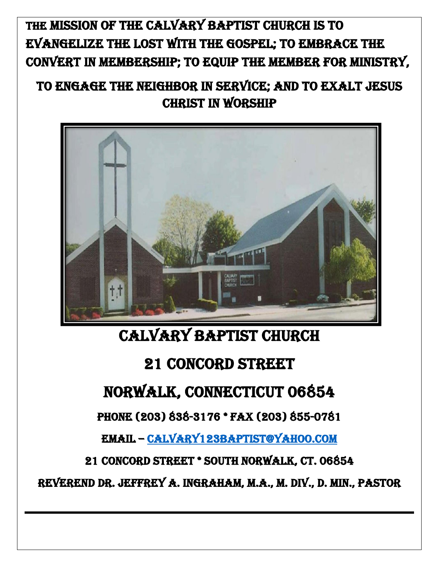# THE mission of the calvary Baptist church is to evangelize the lost with the gospel; to embrace the convert in membership; to equip the member for ministry,

## to engage the neighbor in service; and to exalt jesus CHRIST IN WORSHIP



# CALVARY BAPTIST CHURCH

# 21 concord street

# NORWALK, CONNECTICUT 06854

Phone (203) 838-3176 \* Fax (203) 855-0781

Email – [calvary123baptist@yahoo.com](mailto:calvary123baptist@yahoo.com)

21 Concord Street \* South Norwalk, CT. 06854

Reverend Dr. Jeffrey A. Ingraham, M.A., M. Div., D. Min., Pastor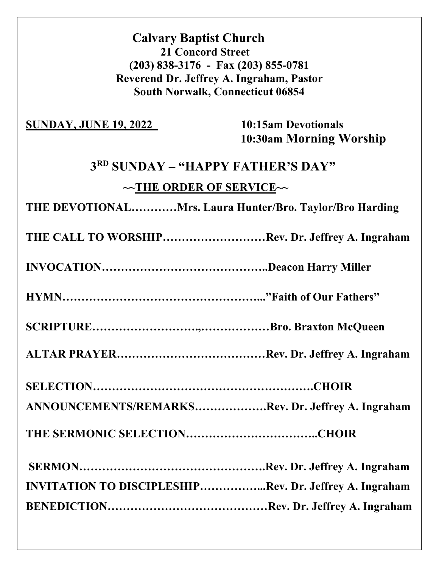## **Calvary Baptist Church 21 Concord Street (203) 838-3176 - Fax (203) 855-0781 Reverend Dr. Jeffrey A. Ingraham, Pastor South Norwalk, Connecticut 06854**

### **SUNDAY, JUNE 19, 2022** 10:15am Devotionals

 **10:30am Morning Worship**

## **3RD SUNDAY – "HAPPY FATHER'S DAY"**

## **~~THE ORDER OF SERVICE~~**

**THE DEVOTIONAL…………Mrs. Laura Hunter/Bro. Taylor/Bro Harding**

**THE CALL TO WORSHIP………………………Rev. Dr. Jeffrey A. Ingraham** 

**INVOCATION……………………………………..Deacon Harry Miller**

**HYMN……………………………………………..."Faith of Our Fathers"**

**SCRIPTURE……………………….,………………Bro. Braxton McQueen** 

**ALTAR PRAYER…………………………………Rev. Dr. Jeffrey A. Ingraham**

**SELECTION………………………………………………….CHOIR**

**ANNOUNCEMENTS/REMARKS……………….Rev. Dr. Jeffrey A. Ingraham** 

**THE SERMONIC SELECTION……………………………..CHOIR**

| <b>INVITATION TO DISCIPLESHIPRev. Dr. Jeffrey A. Ingraham</b> |  |
|---------------------------------------------------------------|--|
|                                                               |  |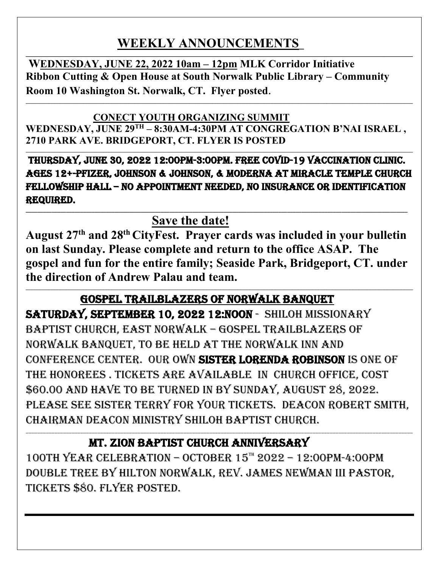## **WEEKLY ANNOUNCEMENTS\_**

 $\mathcal{L}_\mathcal{L} = \mathcal{L}_\mathcal{L} = \mathcal{L}_\mathcal{L} = \mathcal{L}_\mathcal{L} = \mathcal{L}_\mathcal{L} = \mathcal{L}_\mathcal{L} = \mathcal{L}_\mathcal{L} = \mathcal{L}_\mathcal{L} = \mathcal{L}_\mathcal{L} = \mathcal{L}_\mathcal{L} = \mathcal{L}_\mathcal{L} = \mathcal{L}_\mathcal{L} = \mathcal{L}_\mathcal{L} = \mathcal{L}_\mathcal{L} = \mathcal{L}_\mathcal{L} = \mathcal{L}_\mathcal{L} = \mathcal{L}_\mathcal{L}$ 

 **WEDNESDAY, JUNE 22, 2022 10am – 12pm MLK Corridor Initiative Ribbon Cutting & Open House at South Norwalk Public Library – Community Room 10 Washington St. Norwalk, CT. Flyer posted**.

### **CONECT YOUTH ORGANIZING SUMMIT**

**WEDNESDAY, JUNE 29TH – 8:30AM-4:30PM AT CONGREGATION B'NAI ISRAEL , 2710 PARK AVE. BRIDGEPORT, CT. FLYER IS POSTED**

**\_\_\_\_\_\_\_\_\_\_\_\_\_\_\_\_\_\_\_\_\_\_\_\_\_\_\_\_\_\_\_\_\_\_\_\_\_\_\_\_\_\_\_\_\_\_\_\_\_\_\_\_\_\_\_\_\_\_\_\_\_\_\_\_\_\_\_\_\_\_\_\_\_\_\_\_\_\_\_\_\_\_\_\_\_\_\_\_\_\_\_\_\_\_\_\_\_\_\_\_\_\_\_\_\_\_\_\_\_\_\_\_\_\_\_\_\_\_\_\_\_\_\_\_\_\_\_\_\_\_\_\_\_\_\_**

**\_\_\_\_\_\_\_\_\_\_\_\_\_\_\_\_\_\_\_\_\_\_\_\_\_\_\_\_\_\_\_\_\_\_\_\_\_\_\_\_\_\_\_\_\_\_\_\_\_\_\_\_\_\_\_\_\_\_\_\_\_\_\_\_\_\_\_\_\_\_\_\_\_\_\_\_\_\_\_\_\_\_\_\_\_\_\_\_\_\_\_\_\_\_\_\_\_\_\_\_\_\_\_\_\_\_\_\_\_\_\_\_\_\_\_\_\_\_\_\_\_\_\_\_\_\_\_\_\_\_\_\_\_\_\_**

 Thursday, june 30, 2022 12:00pm-3:00pm. Free covid-19 vaccination clinic. Ages 12+-pfizer, Johnson & Johnson, & moderna at miracle temple church fellowship hall – no appointment needed, no insurance or identification required. \_\_\_\_\_\_\_\_\_\_\_\_\_\_\_\_\_\_\_\_\_\_\_\_\_\_\_\_\_\_\_\_\_\_\_\_\_\_\_\_\_\_\_\_\_\_\_\_\_\_\_\_\_\_\_\_\_\_\_\_\_\_\_\_\_\_\_\_\_\_\_\_\_\_\_\_\_\_\_\_\_\_\_\_\_\_\_\_\_\_\_\_\_\_\_\_\_\_\_\_\_\_\_\_\_\_\_\_\_\_\_\_\_\_\_\_\_\_\_\_\_\_\_\_\_\_\_\_\_\_\_\_\_

**Save the date!**

**August 27th and 28th CityFest. Prayer cards was included in your bulletin on last Sunday. Please complete and return to the office ASAP. The gospel and fun for the entire family; Seaside Park, Bridgeport, CT. under the direction of Andrew Palau and team. \_\_\_\_\_\_\_\_\_\_\_\_\_\_\_\_\_\_\_\_\_\_\_\_\_\_\_\_\_\_\_\_\_\_\_\_\_\_\_\_\_\_\_\_\_\_\_\_\_\_\_\_\_\_\_\_\_\_\_\_\_\_\_\_\_\_\_\_\_\_\_\_\_\_\_\_\_\_\_\_\_\_\_\_\_\_\_\_\_\_\_\_\_\_\_\_\_\_\_\_\_\_\_\_\_\_\_\_\_\_\_\_\_\_\_\_\_\_\_\_\_\_\_\_\_\_\_\_\_\_\_\_\_\_\_**

## Gospel trailblazers of Norwalk banquet

Saturday, September 10, 2022 12:noon - Shiloh Missionary Baptist church, East Norwalk – Gospel Trailblazers of NORWALK BANQUET, TO BE HELD AT THE NORWALK INN AND CONFERENCE CENTER. OUR OWN SISTER LORENDA ROBINSON IS ONE OF THE HONOREES, TICKETS ARE AVAILABLE IN CHURCH OFFICE, COST \$60.00 and have to be turned in by Sunday, august 28, 2022. PLEASE SEE SISTER TERRY FOR YOUR TICKETS. DEACON ROBERT SMITH, CHAIRMAN DEACON MINISTRY SHILOH BAPTIST CHURCH.

## Mt. zion Baptist church anniversary

 $100TH$  YEAR CELEBRATION – OCTOBER  $15^{\text{th}}$  2022 – 12:00PM-4:00PM double tree by Hilton Norwalk, rev. james newman III pastor, TICKETS \$80. FLYER POSTED.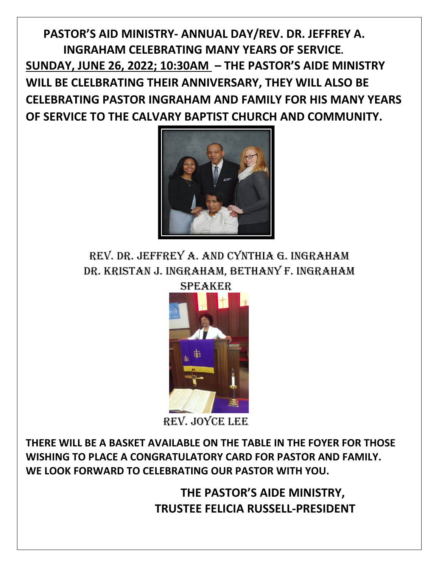**PASTOR'S AID MINISTRY- ANNUAL DAY/REV. DR. JEFFREY A. INGRAHAM CELEBRATING MANY YEARS OF SERVICE. SUNDAY, JUNE 26, 2022; 10:30AM – THE PASTOR'S AIDE MINISTRY WILL BE CLELBRATING THEIR ANNIVERSARY, THEY WILL ALSO BE CELEBRATING PASTOR INGRAHAM AND FAMILY FOR HIS MANY YEARS OF SERVICE TO THE CALVARY BAPTIST CHURCH AND COMMUNITY.** 



REV. DR. JEFFREY A. AND CYNTHIA G. INGRAHAM Dr. Kristan J. Ingraham, Beth any F. Ingraham



REV. JOYCE LEE

**THERE WILL BE A BASKET AVAILABLE ON THE TABLE IN THE FOYER FOR THOSE WISHING TO PLACE A CONGRATULATORY CARD FOR PASTOR AND FAMILY. WE LOOK FORWARD TO CELEBRATING OUR PASTOR WITH YOU.**

> **THE PASTOR'S AIDE MINISTRY, TRUSTEE FELICIA RUSSELL-PRESIDENT**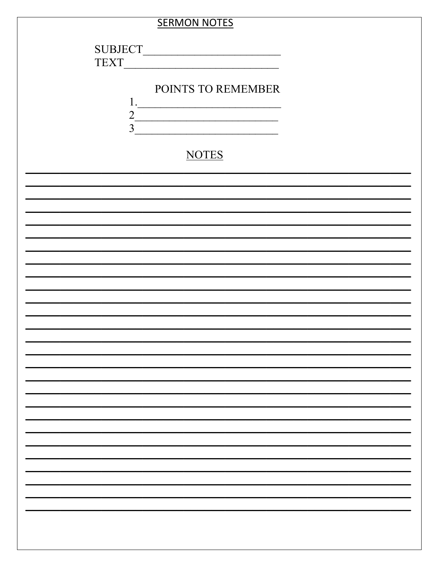|                | <b>SERMON NOTES</b> |  |
|----------------|---------------------|--|
|                |                     |  |
| <b>SUBJECT</b> |                     |  |
| <b>TEXT</b>    |                     |  |
|                | POINTS TO REMEMBER  |  |
| 1.             |                     |  |
| $\overline{3}$ |                     |  |
|                |                     |  |
|                | <b>NOTES</b>        |  |
|                |                     |  |
|                |                     |  |
|                |                     |  |
|                |                     |  |
|                |                     |  |
|                |                     |  |
|                |                     |  |
|                |                     |  |
|                |                     |  |
|                |                     |  |
|                |                     |  |
|                |                     |  |
|                |                     |  |
|                |                     |  |
|                |                     |  |
|                |                     |  |
|                |                     |  |
|                |                     |  |
|                |                     |  |
|                |                     |  |
|                |                     |  |
|                |                     |  |
|                |                     |  |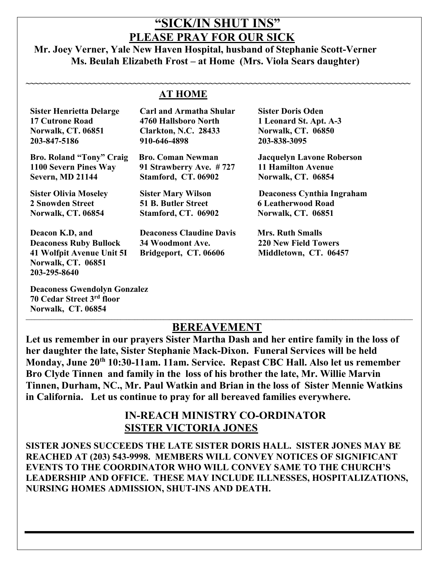## **"SICK/IN SHUT INS" PLEASE PRAY FOR OUR SICK**

### **Mr. Joey Verner, Yale New Haven Hospital, husband of Stephanie Scott-Verner Ms. Beulah Elizabeth Frost – at Home (Mrs. Viola Sears daughter)**

|                                                 | <b>AT HOME</b>                  |                                   |
|-------------------------------------------------|---------------------------------|-----------------------------------|
| <b>Sister Henrietta Delarge</b>                 | <b>Carl and Armatha Shular</b>  | <b>Sister Doris Oden</b>          |
| <b>17 Cutrone Road</b>                          | 4760 Hallsboro North            | 1 Leonard St. Apt. A-3            |
| Norwalk, CT. 06851                              | <b>Clarkton, N.C. 28433</b>     | Norwalk, CT. 06850                |
| 203-847-5186                                    | 910-646-4898                    | 203-838-3095                      |
| Bro. Roland "Tony" Craig                        | <b>Bro. Coman Newman</b>        | <b>Jacquelyn Lavone Roberson</b>  |
| 1100 Severn Pines Way                           | 91 Strawberry Ave. #727         | <b>11 Hamilton Avenue</b>         |
| <b>Severn, MD 21144</b>                         | Stamford, CT. 06902             | Norwalk, CT. 06854                |
| <b>Sister Olivia Moseley</b>                    | <b>Sister Mary Wilson</b>       | <b>Deaconess Cynthia Ingraham</b> |
| 2 Snowden Street                                | <b>51 B. Butler Street</b>      | <b>6 Leatherwood Road</b>         |
| <b>Norwalk, CT. 06854</b>                       | Stamford, CT. 06902             | Norwalk, CT. 06851                |
| Deacon K.D, and                                 | <b>Deaconess Claudine Davis</b> | <b>Mrs. Ruth Smalls</b>           |
| <b>Deaconess Ruby Bullock</b>                   | 34 Woodmont Ave.                | <b>220 New Field Towers</b>       |
| 41 Wolfpit Avenue Unit 5I<br>Norwalk, CT. 06851 | Bridgeport, CT. 06606           | Middletown, CT. 06457             |

 **Deaconess Gwendolyn Gonzalez 70 Cedar Street 3rd floor Norwalk, CT. 06854** 

 **203-295-8640** 

### **\_\_\_\_\_\_\_\_\_\_\_\_\_\_\_\_\_\_\_\_\_\_\_\_\_\_\_\_\_\_\_\_\_\_\_\_\_\_\_\_\_\_\_\_\_\_\_\_\_\_\_\_\_\_\_\_\_\_\_\_\_\_\_\_\_\_\_\_\_\_\_\_\_\_\_\_\_\_\_\_\_\_\_\_\_\_\_\_\_\_\_\_\_\_\_\_\_\_\_\_\_\_\_\_\_\_\_\_\_\_\_\_\_\_\_\_\_\_\_\_\_\_\_\_\_\_\_\_\_\_\_\_\_\_\_ BEREAVEMENT**

**Let us remember in our prayers Sister Martha Dash and her entire family in the loss of her daughter the late, Sister Stephanie Mack-Dixon. Funeral Services will be held Monday, June 20th 10:30-11am. 11am. Service. Repast CBC Hall. Also let us remember Bro Clyde Tinnen and family in the loss of his brother the late, Mr. Willie Marvin Tinnen, Durham, NC., Mr. Paul Watkin and Brian in the loss of Sister Mennie Watkins in California. Let us continue to pray for all bereaved families everywhere.** 

### **IN-REACH MINISTRY CO-ORDINATOR SISTER VICTORIA JONES**

**SISTER JONES SUCCEEDS THE LATE SISTER DORIS HALL. SISTER JONES MAY BE REACHED AT (203) 543-9998. MEMBERS WILL CONVEY NOTICES OF SIGNIFICANT EVENTS TO THE COORDINATOR WHO WILL CONVEY SAME TO THE CHURCH'S LEADERSHIP AND OFFICE. THESE MAY INCLUDE ILLNESSES, HOSPITALIZATIONS, NURSING HOMES ADMISSION, SHUT-INS AND DEATH.**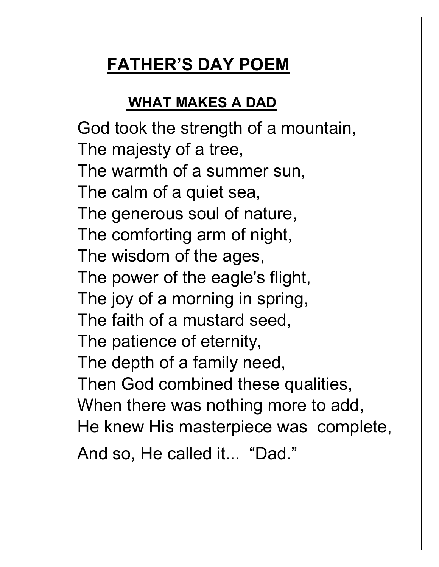# **FATHER'S DAY POEM**

# **WHAT MAKES A DAD**

God took the strength of a mountain, The majesty of a tree, The warmth of a summer sun, The calm of a quiet sea, The generous soul of nature, The comforting arm of night, The wisdom of the ages, The power of the eagle's flight, The joy of a morning in spring, The faith of a mustard seed, The patience of eternity, The depth of a family need, Then God combined these qualities, When there was nothing more to add, He knew His masterpiece was complete, And so, He called it... "Dad."